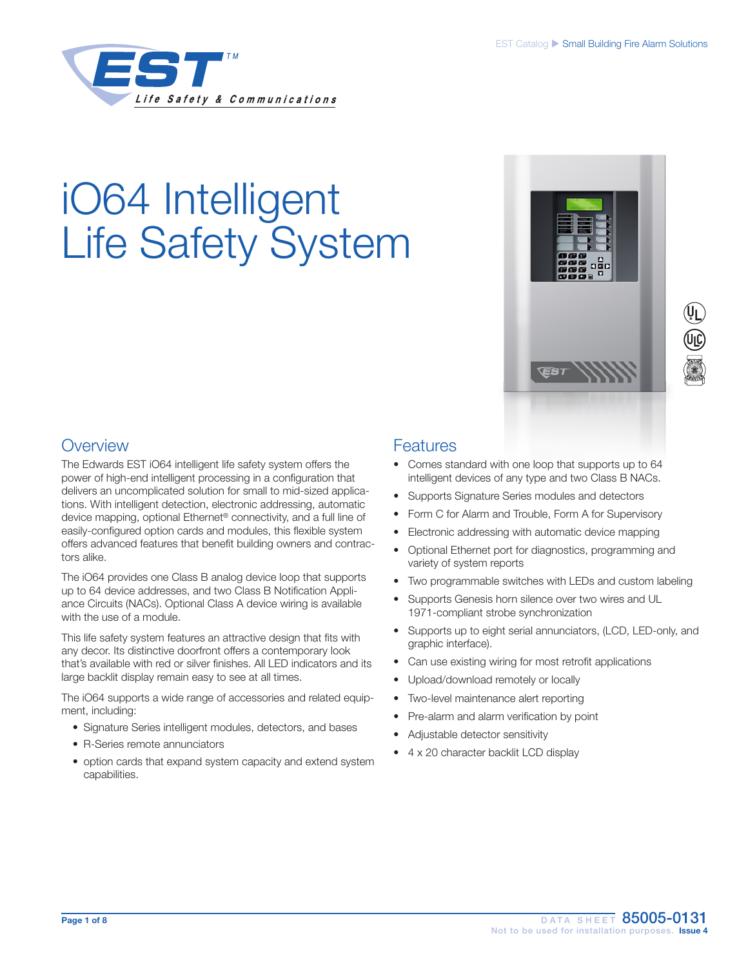

# iO64 Intelligent Life Safety System



## **Overview**

The Edwards EST iO64 intelligent life safety system offers the power of high-end intelligent processing in a configuration that delivers an uncomplicated solution for small to mid-sized applications. With intelligent detection, electronic addressing, automatic device mapping, optional Ethernet® connectivity, and a full line of easily-configured option cards and modules, this flexible system offers advanced features that benefit building owners and contractors alike.

The iO64 provides one Class B analog device loop that supports up to 64 device addresses, and two Class B Notification Appliance Circuits (NACs). Optional Class A device wiring is available with the use of a module.

This life safety system features an attractive design that fits with any decor. Its distinctive doorfront offers a contemporary look that's available with red or silver finishes. All LED indicators and its large backlit display remain easy to see at all times.

The iO64 supports a wide range of accessories and related equipment, including:

- Signature Series intelligent modules, detectors, and bases
- R-Series remote annunciators
- option cards that expand system capacity and extend system capabilities.

## **Features**

- Comes standard with one loop that supports up to 64 intelligent devices of any type and two Class B NACs.
- Supports Signature Series modules and detectors
- Form C for Alarm and Trouble, Form A for Supervisory
- Electronic addressing with automatic device mapping
- Optional Ethernet port for diagnostics, programming and variety of system reports
- Two programmable switches with LEDs and custom labeling
- Supports Genesis horn silence over two wires and UL 1971-compliant strobe synchronization
- Supports up to eight serial annunciators, (LCD, LED-only, and graphic interface).
- Can use existing wiring for most retrofit applications
- Upload/download remotely or locally
- Two-level maintenance alert reporting
- Pre-alarm and alarm verification by point
- Adjustable detector sensitivity
- 4 x 20 character backlit LCD display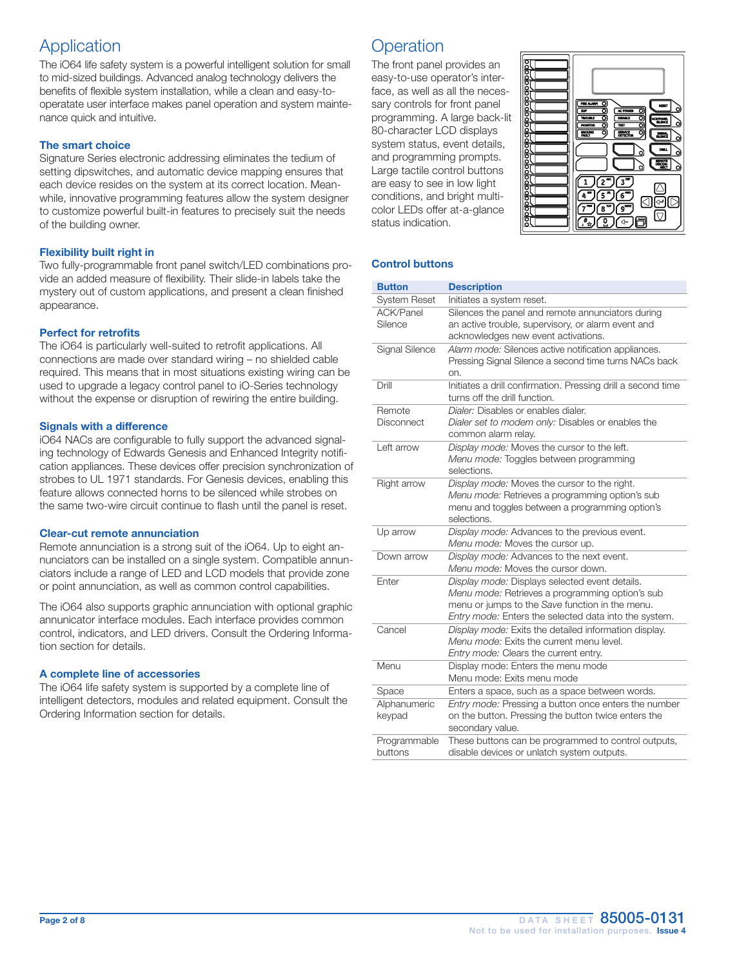## Application

The iO64 life safety system is a powerful intelligent solution for small to mid-sized buildings. Advanced analog technology delivers the benefits of flexible system installation, while a clean and easy-tooperatate user interface makes panel operation and system maintenance quick and intuitive.

#### The smart choice

Signature Series electronic addressing eliminates the tedium of setting dipswitches, and automatic device mapping ensures that each device resides on the system at its correct location. Meanwhile, innovative programming features allow the system designer to customize powerful built-in features to precisely suit the needs of the building owner.

#### Flexibility built right in

Two fully-programmable front panel switch/LED combinations provide an added measure of flexibility. Their slide-in labels take the mystery out of custom applications, and present a clean finished appearance.

#### Perfect for retrofits

The iO64 is particularly well-suited to retrofit applications. All connections are made over standard wiring – no shielded cable required. This means that in most situations existing wiring can be used to upgrade a legacy control panel to iO-Series technology without the expense or disruption of rewiring the entire building.

#### Signals with a difference

iO64 NACs are configurable to fully support the advanced signaling technology of Edwards Genesis and Enhanced Integrity notification appliances. These devices offer precision synchronization of strobes to UL 1971 standards. For Genesis devices, enabling this feature allows connected horns to be silenced while strobes on the same two-wire circuit continue to flash until the panel is reset.

#### Clear-cut remote annunciation

Remote annunciation is a strong suit of the iO64. Up to eight annunciators can be installed on a single system. Compatible annunciators include a range of LED and LCD models that provide zone or point annunciation, as well as common control capabilities.

The iO64 also supports graphic annunciation with optional graphic annunicator interface modules. Each interface provides common control, indicators, and LED drivers. Consult the Ordering Information section for details.

#### A complete line of accessories

The iO64 life safety system is supported by a complete line of intelligent detectors, modules and related equipment. Consult the Ordering Information section for details.

## **Operation**

The front panel provides an easy-to-use operator's interface, as well as all the necessary controls for front panel programming. A large back-lit 80-character LCD displays system status, event details, and programming prompts. Large tactile control buttons are easy to see in low light conditions, and bright multicolor LEDs offer at-a-glance status indication.



#### Control buttons

| <b>Button</b>               | <b>Description</b>                                                                                                                                                                                            |
|-----------------------------|---------------------------------------------------------------------------------------------------------------------------------------------------------------------------------------------------------------|
| <b>System Reset</b>         | Initiates a system reset.                                                                                                                                                                                     |
| <b>ACK/Panel</b><br>Silence | Silences the panel and remote annunciators during<br>an active trouble, supervisory, or alarm event and<br>acknowledges new event activations.                                                                |
| Signal Silence              | Alarm mode: Silences active notification appliances.<br>Pressing Signal Silence a second time turns NACs back<br>on.                                                                                          |
| Drill                       | Initiates a drill confirmation. Pressing drill a second time<br>turns off the drill function.                                                                                                                 |
| Remote<br>Disconnect        | Dialer: Disables or enables dialer.<br>Dialer set to modem only: Disables or enables the<br>common alarm relay.                                                                                               |
| Left arrow                  | Display mode: Moves the cursor to the left.<br>Menu mode: Toggles between programming<br>selections.                                                                                                          |
| Right arrow                 | Display mode: Moves the cursor to the right.<br>Menu mode: Retrieves a programming option's sub<br>menu and toggles between a programming option's<br>selections.                                             |
| Up arrow                    | Display mode: Advances to the previous event.<br>Menu mode: Moves the cursor up.                                                                                                                              |
| Down arrow                  | Display mode: Advances to the next event.<br>Menu mode: Moves the cursor down.                                                                                                                                |
| Enter                       | Display mode: Displays selected event details.<br>Menu mode: Retrieves a programming option's sub<br>menu or jumps to the Save function in the menu.<br>Entry mode: Enters the selected data into the system. |
| Cancel                      | Display mode: Exits the detailed information display.<br>Menu mode: Exits the current menu level.<br>Entry mode: Clears the current entry.                                                                    |
| Menu                        | Display mode: Enters the menu mode<br>Menu mode: Exits menu mode                                                                                                                                              |
| Space                       | Enters a space, such as a space between words.                                                                                                                                                                |
| Alphanumeric<br>keypad      | Entry mode: Pressing a button once enters the number<br>on the button. Pressing the button twice enters the<br>secondary value.                                                                               |
| Programmable<br>buttons     | These buttons can be programmed to control outputs,<br>disable devices or unlatch system outputs.                                                                                                             |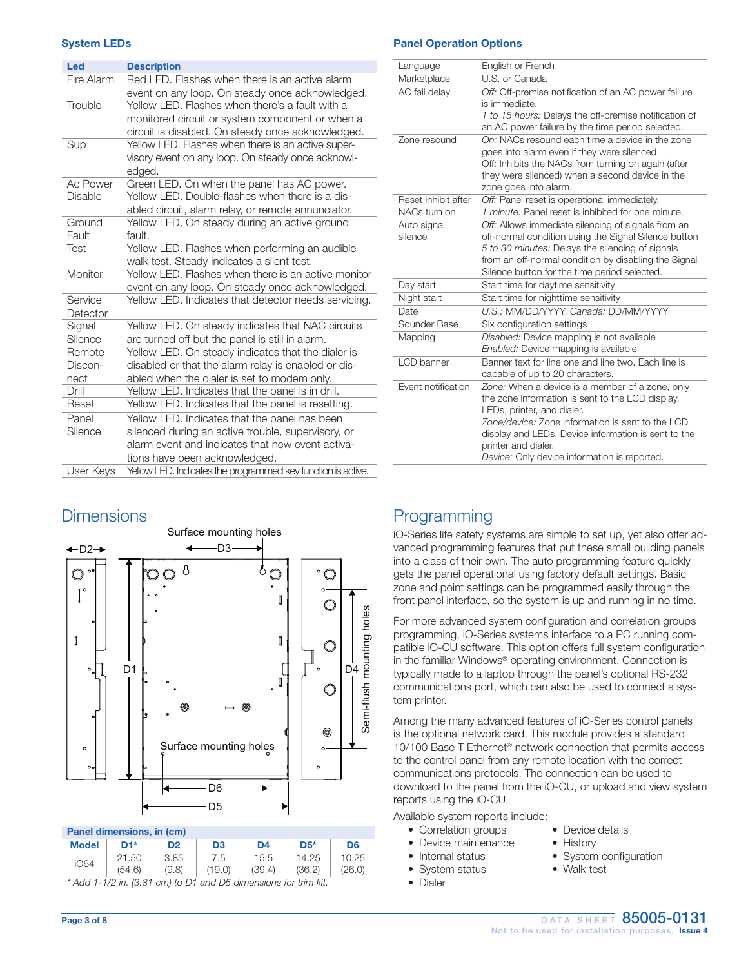#### System LEDs

| Led            | <b>Description</b>                                           |
|----------------|--------------------------------------------------------------|
| Fire Alarm     | Red LED. Flashes when there is an active alarm               |
|                | event on any loop. On steady once acknowledged.              |
| Trouble        | Yellow LED. Flashes when there's a fault with a              |
|                | monitored circuit or system component or when a              |
|                | circuit is disabled. On steady once acknowledged.            |
| Sup            | Yellow LED. Flashes when there is an active super-           |
|                | visory event on any loop. On steady once acknowl-            |
|                | edged.                                                       |
| Ac Power       | Green LED. On when the panel has AC power.                   |
| <b>Disable</b> | Yellow LED. Double-flashes when there is a dis-              |
|                | abled circuit, alarm relay, or remote annunciator.           |
| Ground         | Yellow LED. On steady during an active ground                |
| Fault          | fault.                                                       |
| Test           | Yellow LED. Flashes when performing an audible               |
|                | walk test. Steady indicates a silent test.                   |
| Monitor        | Yellow LED. Flashes when there is an active monitor          |
|                | event on any loop. On steady once acknowledged.              |
| Service        | Yellow LED. Indicates that detector needs servicing.         |
| Detector       |                                                              |
| Signal         | Yellow LED. On steady indicates that NAC circuits            |
| Silence        | are turned off but the panel is still in alarm.              |
| Remote         | Yellow LED. On steady indicates that the dialer is           |
| Discon-        | disabled or that the alarm relay is enabled or dis-          |
| nect           | abled when the dialer is set to modem only.                  |
| Drill          | Yellow LED. Indicates that the panel is in drill.            |
| Reset          | Yellow LED. Indicates that the panel is resetting.           |
| Panel          | Yellow LED. Indicates that the panel has been                |
| Silence        | silenced during an active trouble, supervisory, or           |
|                | alarm event and indicates that new event activa-             |
|                | tions have been acknowledged.                                |
| User Kevs      | Yellow LED. Indicates the programmed key function is active. |

#### Panel Operation Options

| Language                            | English or French                                                                                         |
|-------------------------------------|-----------------------------------------------------------------------------------------------------------|
| Marketplace                         | U.S. or Canada                                                                                            |
| AC fail delay                       | Off: Off-premise notification of an AC power failure<br>is immediate.                                     |
|                                     | 1 to 15 hours: Delays the off-premise notification of<br>an AC power failure by the time period selected. |
| Zone resound                        | On: NACs resound each time a device in the zone<br>goes into alarm even if they were silenced             |
|                                     | Off: Inhibits the NACs from turning on again (after                                                       |
|                                     | they were silenced) when a second device in the<br>zone goes into alarm.                                  |
| Reset inhibit after<br>NACs turn on | Off: Panel reset is operational immediately.<br>1 minute: Panel reset is inhibited for one minute.        |
| Auto signal                         | Off: Allows immediate silencing of signals from an                                                        |
| silence                             | off-normal condition using the Signal Silence button                                                      |
|                                     | 5 to 30 minutes: Delays the silencing of signals                                                          |
|                                     | from an off-normal condition by disabling the Signal                                                      |
|                                     | Silence button for the time period selected.                                                              |
| Day start                           | Start time for daytime sensitivity                                                                        |
| Night start                         | Start time for nighttime sensitivity                                                                      |
| Date                                | U.S.: MM/DD/YYYY, Canada: DD/MM/YYYY                                                                      |
| Sounder Base                        | Six configuration settings                                                                                |
| Mapping                             | Disabled: Device mapping is not available                                                                 |
|                                     | Enabled: Device mapping is available                                                                      |
| LCD banner                          | Banner text for line one and line two. Each line is                                                       |
|                                     | capable of up to 20 characters.                                                                           |
| Event notification                  | Zone: When a device is a member of a zone, only                                                           |
|                                     | the zone information is sent to the LCD display,                                                          |
|                                     | LEDs, printer, and dialer.<br>Zone/device: Zone information is sent to the LCD                            |
|                                     | display and LEDs. Device information is sent to the                                                       |
|                                     | printer and dialer.                                                                                       |
|                                     | Device: Only device information is reported.                                                              |
|                                     |                                                                                                           |

## **Dimensions**



#### Panel dimensions, in (cm)

| <b>Model</b>                                                       | D1*    | D <sub>2</sub> | D3     | D4     | $DS*$  | D <sub>6</sub> |
|--------------------------------------------------------------------|--------|----------------|--------|--------|--------|----------------|
| iO64                                                               | 21.50  | 3.85           | 7.5    | 15.5   | 14.25  | 10.25          |
|                                                                    | (54.6) | (9.8)          | (19.0) | (39.4) | (36.2) | (26.0)         |
| $^*$ Add 1-1/2 in. (3.81 cm) to D1 and D5 dimensions for trim kit. |        |                |        |        |        |                |

## Programming

iO-Series life safety systems are simple to set up, yet also offer advanced programming features that put these small building panels into a class of their own. The auto programming feature quickly gets the panel operational using factory default settings. Basic zone and point settings can be programmed easily through the front panel interface, so the system is up and running in no time.

For more advanced system configuration and correlation groups programming, iO-Series systems interface to a PC running compatible iO-CU software. This option offers full system configuration in the familiar Windows® operating environment. Connection is typically made to a laptop through the panel's optional RS-232 communications port, which can also be used to connect a system printer.

Among the many advanced features of iO-Series control panels is the optional network card. This module provides a standard 10/100 Base T Ethernet® network connection that permits access to the control panel from any remote location with the correct communications protocols. The connection can be used to download to the panel from the iO-CU, or upload and view system reports using the iO-CU.

Available system reports include:

- Correlation groups Device details
- Device maintenance History
- 
- System status Walk test
- Dialer
- 
- 
- Internal status System configuration
	-

Page 3 of 8 DATA SHEET 85005-0131 Not to be used for installation purposes. Issue 4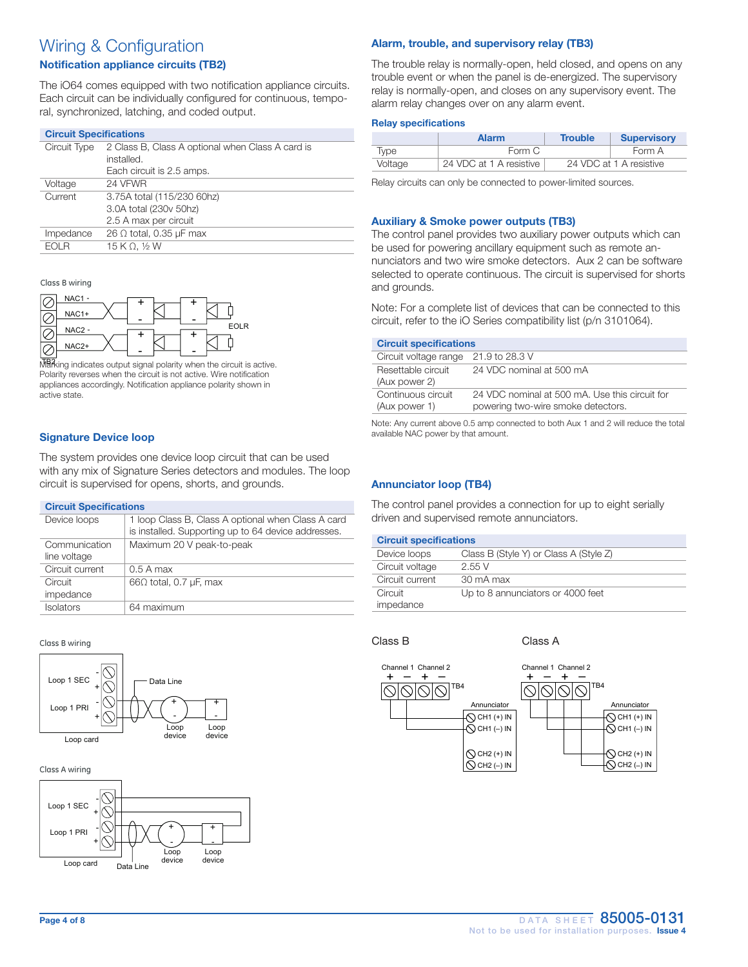## Wiring & Configuration

#### Notification appliance circuits (TB2)

The iO64 comes equipped with two notification appliance circuits. Each circuit can be individually configured for continuous, temporal, synchronized, latching, and coded output.

| <b>Circuit Specifications</b> |                                                  |  |
|-------------------------------|--------------------------------------------------|--|
| Circuit Type                  | 2 Class B, Class A optional when Class A card is |  |
|                               | installed.                                       |  |
|                               | Each circuit is 2.5 amps.                        |  |
| Voltage                       | 24 VFWR                                          |  |
| Current                       | 3.75A total (115/230 60hz)                       |  |
|                               | 3.0A total (230v 50hz)                           |  |
|                               | 2.5 A max per circuit                            |  |
| Impedance                     | 26 $\Omega$ total, 0.35 $\mu$ F max              |  |
| FOI R                         | 15 K $\Omega$ , 1/2 W                            |  |

Class B wiring



MBA ing indicates output signal polarity when the circuit is active. appliances accordingly. Notification appliance polarity shown in Polarity reverses when the circuit is not active. Wire notification active state.

### Signature Device loop

with any mix of Signature Series detectors and modules. The loop with any mix of olghatare benes detectors and moderned for opens, shorts, and grounds. The system provides one device loop circuit that can be used

#### **Circuit Specifications**

| <u>Un ount Opconnoutions</u> |                                                                                                           |
|------------------------------|-----------------------------------------------------------------------------------------------------------|
| Device loops                 | 1 loop Class B, Class A optional when Class A card<br>is installed. Supporting up to 64 device addresses. |
| Communication                | Maximum 20 V peak-to-peak                                                                                 |
| line voltage                 |                                                                                                           |
| Circuit current              | $0.5$ A max                                                                                               |
| Circuit                      | $66\Omega$ total, 0.7 µF, max                                                                             |
| impedance                    |                                                                                                           |
| <b>Isolators</b>             | 64 maximum                                                                                                |

.<br>Class B wiring



Class A wiring



#### Alarm, trouble, and supervisory relay (TB3)

The trouble relay is normally-open, held closed, and opens on any trouble event or when the panel is de-energized. The supervisory relay is normally-open, and closes on any supervisory event. The alarm relay changes over on any alarm event.

#### Relay specifications

|             | <b>Alarm</b>            | <b>Trouble</b> | <b>Supervisory</b>      |
|-------------|-------------------------|----------------|-------------------------|
| <i>lvpe</i> | Form C                  |                | Form A                  |
| Voltage     | 24 VDC at 1 A resistive |                | 24 VDC at 1 A resistive |

Relay circuits can only be connected to power-limited sources.

#### Auxiliary & Smoke power outputs (TB3)

The control panel provides two auxiliary power outputs which can be used for powering ancillary equipment such as remote annunciators and two wire smoke detectors. Aux 2 can be software selected to operate continuous. The circuit is supervised for shorts and grounds.

Note: For a complete list of devices that can be connected to this circuit, refer to the iO Series compatibility list (p/n 3101064).

| <b>Circuit specifications</b>        |                                                                                      |
|--------------------------------------|--------------------------------------------------------------------------------------|
| Circuit voltage range 21.9 to 28.3 V |                                                                                      |
| Resettable circuit<br>(Aux power 2)  | 24 VDC nominal at 500 mA                                                             |
| Continuous circuit<br>(Aux power 1)  | 24 VDC nominal at 500 mA. Use this circuit for<br>powering two-wire smoke detectors. |

Note: Any current above 0.5 amp connected to both Aux 1 and 2 will reduce the total available NAC power by that amount.

#### Annunciator loop (TB4)

The control panel provides a connection for up to eight serially driven and supervised remote annunciators.

| <b>Circuit specifications</b> |                                        |  |
|-------------------------------|----------------------------------------|--|
| Device loops                  | Class B (Style Y) or Class A (Style Z) |  |
| Circuit voltage               | 2.55V                                  |  |
| Circuit current               | 30 mA max                              |  |
| Circuit<br>impedance          | Up to 8 annunciators or 4000 feet      |  |

Class B Class A

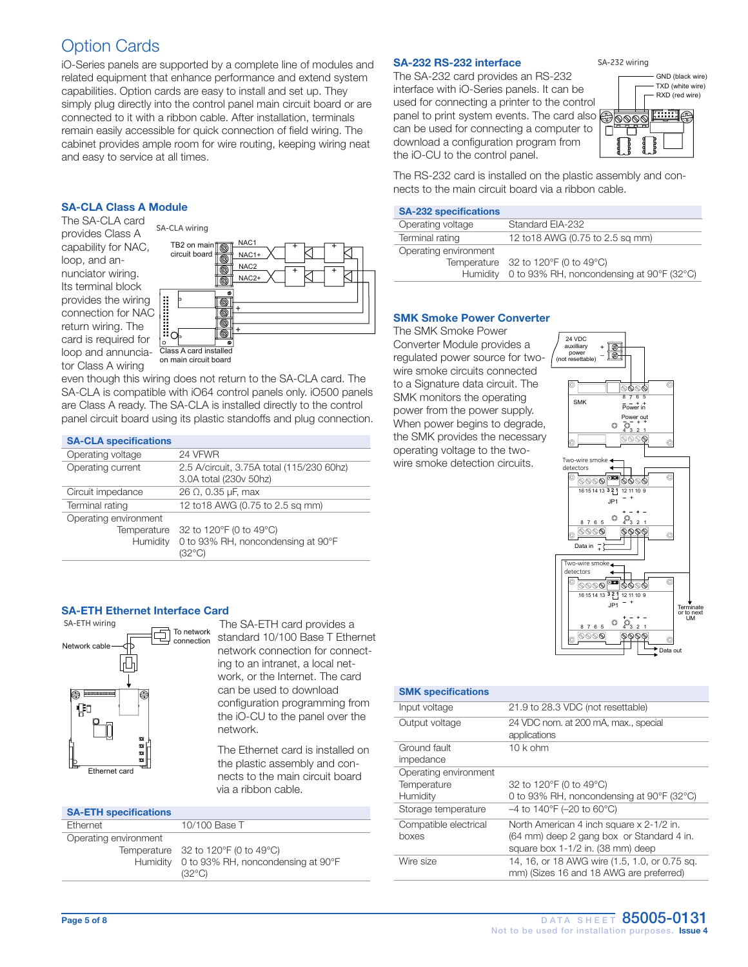## Option Cards

iO-Series panels are supported by a complete line of modules and related equipment that enhance performance and extend system capabilities. Option cards are easy to install and set up. They simply plug directly into the control panel main circuit board or are connected to it with a ribbon cable. After installation, terminals remain easily accessible for quick connection of field wiring. The cabinet provides ample room for wire routing, keeping wiring neat and easy to service at all times.

#### SA-CLA Class A Module

The SA-CLA card provides Class A capability for NAC, loop, and annunciator wiring. Its terminal block provides the wiring connection for NAC return wiring. The card is required for loop and annunciator Class A wiring



even though this wiring does not return to the SA-CLA card. The SA-CLA is compatible with iO64 control panels only. iO500 panels are Class A ready. The SA-CLA is installed directly to the control panel circuit board using its plastic standoffs and plug connection.

#### SA-CLA specifications

| P <sub>1</sub>        |                                           |
|-----------------------|-------------------------------------------|
| Operating voltage     | 24 VFWR                                   |
| Operating current     | 2.5 A/circuit, 3.75A total (115/230 60hz) |
|                       | 3.0A total (230v 50hz)                    |
| Circuit impedance     | $26 \Omega$ , 0.35 µF, max                |
| Terminal rating       | 12 to 18 AWG (0.75 to 2.5 sq mm)          |
| Operating environment |                                           |
| Temperature           | 32 to 120°F (0 to 49°C)                   |
| Humidity              | 0 to 93% RH, noncondensing at 90°F        |
|                       | (32°C)                                    |

#### SA-ETH Ethernet Interface Card



standard 10/100 Base T Ethernet network connection for connecting to an intranet, a local network, or the Internet. The card can be used to download configuration programming from the iO-CU to the panel over the network.

The Ethernet card is installed on the plastic assembly and connects to the main circuit board via a ribbon cable.

#### SA-ETH specifications

| $O1$ . The specifications |                                                                |
|---------------------------|----------------------------------------------------------------|
| Ethernet                  | 10/100 Base T                                                  |
| Operating environment     |                                                                |
|                           | Temperature $32$ to 120°F (0 to 49°C)                          |
|                           | Humidity 0 to 93% RH, noncondensing at 90°F<br>$(32^{\circ}C)$ |
|                           |                                                                |

#### SA-232 RS-232 interface

The SA-232 card provides an RS-232 interface with iO-Series panels. It can be used for connecting a printer to the control panel to print system events. The card also can be used for connecting a computer to download a configuration program from the iO-CU to the control panel.



SA-232 wiring

The RS-232 card is installed on the plastic assembly and connects to the main circuit board via a ribbon cable.

#### SA-232 specifications

| Operating voltage     | Standard EIA-232                                   |
|-----------------------|----------------------------------------------------|
| Terminal rating       | 12 to 18 AWG (0.75 to 2.5 sq mm)                   |
| Operating environment |                                                    |
|                       | Temperature $32$ to 120°F (0 to 49°C)              |
|                       | Humidity 0 to 93% RH, noncondensing at 90°F (32°C) |

#### SMK Smoke Power Converter

The SMK Smoke Power Converter Module provides a regulated power source for twowire smoke circuits connected to a Signature data circuit. The SMK monitors the operating power from the power supply. When power begins to degrade, the SMK provides the necessary operating voltage to the twowire smoke detection circuits.



#### SMK specifications

| Input voltage                                    | 21.9 to 28.3 VDC (not resettable)                                                                                          |
|--------------------------------------------------|----------------------------------------------------------------------------------------------------------------------------|
| Output voltage                                   | 24 VDC nom. at 200 mA, max., special<br>applications                                                                       |
| Ground fault<br>impedance                        | $10k$ ohm                                                                                                                  |
| Operating environment<br>Temperature<br>Humidity | 32 to 120°F (0 to 49°C)<br>0 to 93% RH, noncondensing at 90°F (32°C)                                                       |
| Storage temperature                              | $-4$ to 140°F (-20 to 60°C)                                                                                                |
| Compatible electrical<br>boxes                   | North American 4 inch square x 2-1/2 in.<br>(64 mm) deep 2 gang box or Standard 4 in.<br>square box 1-1/2 in. (38 mm) deep |
| Wire size                                        | 14, 16, or 18 AWG wire (1.5, 1.0, or 0.75 sq.<br>mm) (Sizes 16 and 18 AWG are preferred)                                   |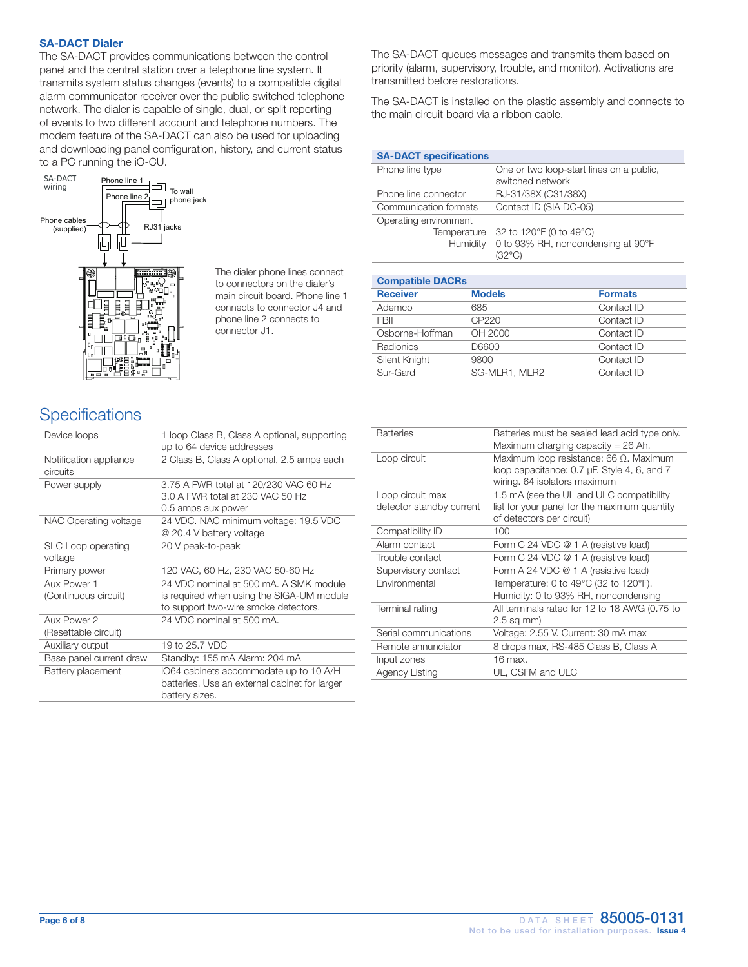#### SA-DACT Dialer

The SA-DACT provides communications between the control panel and the central station over a telephone line system. It transmits system status changes (events) to a compatible digital alarm communicator receiver over the public switched telephone network. The dialer is capable of single, dual, or split reporting of events to two different account and telephone numbers. The modem feature of the SA-DACT can also be used for uploading and downloading panel configuration, history, and current status to a PC running the iO-CU.



 The dialer phone lines connect to connectors on the dialer's main circuit board. Phone line 1 connects to connector J4 and phone line 2 connects to connector J1.

The SA-DACT queues messages and transmits them based on priority (alarm, supervisory, trouble, and monitor). Activations are transmitted before restorations.

The SA-DACT is installed on the plastic assembly and connects to the main circuit board via a ribbon cable.

| <b>SA-DACT specifications</b>                    |                                                                         |
|--------------------------------------------------|-------------------------------------------------------------------------|
| Phone line type                                  | One or two loop-start lines on a public,<br>switched network            |
| Phone line connector                             | RJ-31/38X (C31/38X)                                                     |
| Communication formats                            | Contact ID (SIA DC-05)                                                  |
| Operating environment<br>Temperature<br>Humidity | 32 to 120°F (0 to 49°C)<br>0 to 93% RH, noncondensing at 90°F<br>(??ºC) |

| <b>Compatible DACRs</b> |               |                |
|-------------------------|---------------|----------------|
| <b>Receiver</b>         | <b>Models</b> | <b>Formats</b> |
| Ademco                  | 685           | Contact ID     |
| <b>FBII</b>             | CP220         | Contact ID     |
| Osborne-Hoffman         | OH 2000       | Contact ID     |
| Radionics               | D6600         | Contact ID     |
| Silent Knight           | 9800          | Contact ID     |
| Sur-Gard                | SG-MLR1, MLR2 | Contact ID     |

## **Specifications**

| Device loops                         | 1 loop Class B, Class A optional, supporting<br>up to 64 device addresses                                                   |
|--------------------------------------|-----------------------------------------------------------------------------------------------------------------------------|
| Notification appliance<br>circuits   | 2 Class B, Class A optional, 2.5 amps each                                                                                  |
| Power supply                         | 3.75 A FWR total at 120/230 VAC 60 Hz<br>3.0 A FWR total at 230 VAC 50 Hz<br>0.5 amps aux power                             |
| NAC Operating voltage                | 24 VDC. NAC minimum voltage: 19.5 VDC<br>@ 20.4 V battery voltage                                                           |
| <b>SLC Loop operating</b><br>voltage | 20 V peak-to-peak                                                                                                           |
| Primary power                        | 120 VAC, 60 Hz, 230 VAC 50-60 Hz                                                                                            |
| Aux Power 1<br>(Continuous circuit)  | 24 VDC nominal at 500 mA. A SMK module<br>is required when using the SIGA-UM module<br>to support two-wire smoke detectors. |
| Aux Power 2<br>(Resettable circuit)  | 24 VDC nominal at 500 mA.                                                                                                   |
| Auxiliary output                     | 19 to 25.7 VDC                                                                                                              |
| Base panel current draw              | Standby: 155 mA Alarm: 204 mA                                                                                               |
| Battery placement                    | iO64 cabinets accommodate up to 10 A/H<br>batteries. Use an external cabinet for larger<br>battery sizes.                   |

| <b>Batteries</b>         | Batteries must be sealed lead acid type only.<br>Maximum charging capacity = $26$ Ah.                                         |
|--------------------------|-------------------------------------------------------------------------------------------------------------------------------|
| Loop circuit             | Maximum loop resistance: 66 $\Omega$ . Maximum<br>loop capacitance: 0.7 µF. Style 4, 6, and 7<br>wiring. 64 isolators maximum |
| Loop circuit max         | 1.5 mA (see the UL and ULC compatibility                                                                                      |
| detector standby current | list for your panel for the maximum quantity                                                                                  |
|                          | of detectors per circuit)                                                                                                     |
| Compatibility ID         | 100                                                                                                                           |
| Alarm contact            | Form C 24 VDC @ 1 A (resistive load)                                                                                          |
| Trouble contact          | Form C 24 VDC @ 1 A (resistive load)                                                                                          |
| Supervisory contact      | Form A 24 VDC @ 1 A (resistive load)                                                                                          |
| Environmental            | Temperature: 0 to 49°C (32 to 120°F).<br>Humidity: 0 to 93% RH, noncondensing                                                 |
| Terminal rating          | All terminals rated for 12 to 18 AWG (0.75 to<br>2.5 sq mm)                                                                   |
| Serial communications    | Voltage: 2.55 V. Current: 30 mA max                                                                                           |
| Remote annunciator       | 8 drops max, RS-485 Class B, Class A                                                                                          |
| Input zones              | 16 max.                                                                                                                       |
| <b>Agency Listing</b>    | UL, CSFM and ULC                                                                                                              |
|                          |                                                                                                                               |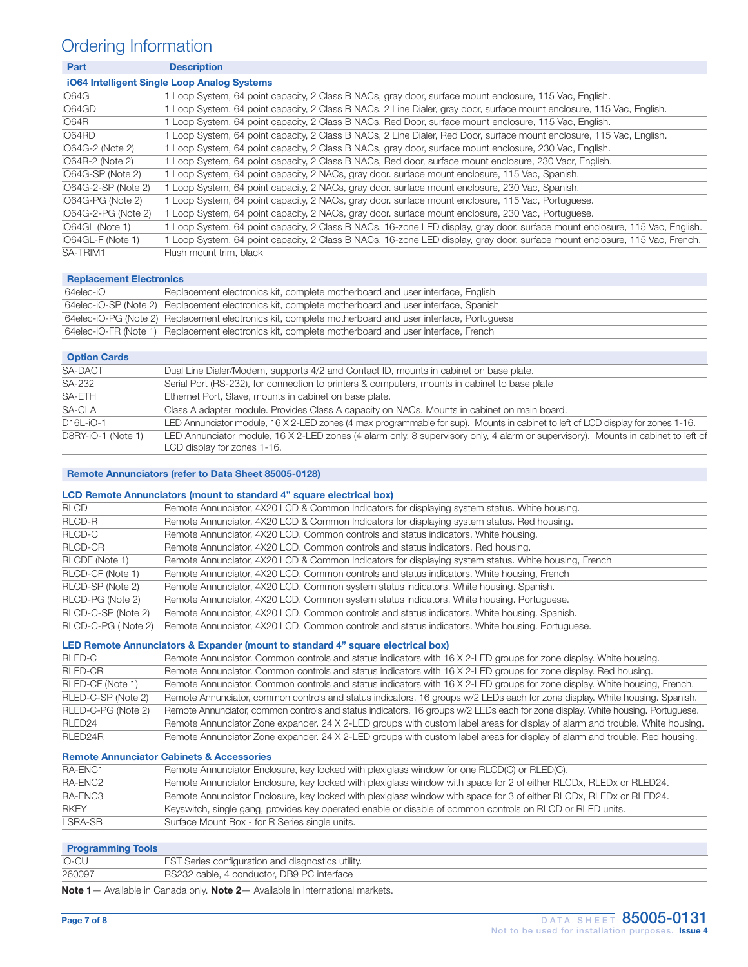## Ordering Information

| <b>Description</b>                                                                                                           |  |  |
|------------------------------------------------------------------------------------------------------------------------------|--|--|
| iO64 Intelligent Single Loop Analog Systems                                                                                  |  |  |
| 1 Loop System, 64 point capacity, 2 Class B NACs, gray door, surface mount enclosure, 115 Vac, English.                      |  |  |
| 1 Loop System, 64 point capacity, 2 Class B NACs, 2 Line Dialer, gray door, surface mount enclosure, 115 Vac, English.       |  |  |
| 1 Loop System, 64 point capacity, 2 Class B NACs, Red Door, surface mount enclosure, 115 Vac, English.                       |  |  |
| 1 Loop System, 64 point capacity, 2 Class B NACs, 2 Line Dialer, Red Door, surface mount enclosure, 115 Vac, English.        |  |  |
| 1 Loop System, 64 point capacity, 2 Class B NACs, gray door, surface mount enclosure, 230 Vac, English.                      |  |  |
| 1 Loop System, 64 point capacity, 2 Class B NACs, Red door, surface mount enclosure, 230 Vacr, English.                      |  |  |
| 1 Loop System, 64 point capacity, 2 NACs, gray door. surface mount enclosure, 115 Vac, Spanish.                              |  |  |
| 1 Loop System, 64 point capacity, 2 NACs, gray door. surface mount enclosure, 230 Vac, Spanish.                              |  |  |
| 1 Loop System, 64 point capacity, 2 NACs, gray door, surface mount enclosure, 115 Vac, Portuguese.                           |  |  |
| Loop System, 64 point capacity, 2 NACs, gray door. surface mount enclosure, 230 Vac, Portuguese.                             |  |  |
| 1 Loop System, 64 point capacity, 2 Class B NACs, 16-zone LED display, gray door, surface mount enclosure, 115 Vac, English. |  |  |
| 1 Loop System, 64 point capacity, 2 Class B NACs, 16-zone LED display, gray door, surface mount enclosure, 115 Vac, French.  |  |  |
| Flush mount trim, black                                                                                                      |  |  |
|                                                                                                                              |  |  |

#### Replacement Electronics

| 64elec-iO | Replacement electronics kit, complete motherboard and user interface, English                          |
|-----------|--------------------------------------------------------------------------------------------------------|
|           | 64elec-iO-SP (Note 2) Replacement electronics kit, complete motherboard and user interface, Spanish    |
|           | 64elec-iO-PG (Note 2) Replacement electronics kit, complete motherboard and user interface, Portuguese |
|           | 64elec-iO-FR (Note 1) Replacement electronics kit, complete motherboard and user interface, French     |

#### **Option Cards**

| <b>PRODUCTION</b>  |                                                                                                                                                                  |
|--------------------|------------------------------------------------------------------------------------------------------------------------------------------------------------------|
| SA-DACT            | Dual Line Dialer/Modem, supports 4/2 and Contact ID, mounts in cabinet on base plate.                                                                            |
| SA-232             | Serial Port (RS-232), for connection to printers & computers, mounts in cabinet to base plate                                                                    |
| SA-ETH             | Ethernet Port, Slave, mounts in cabinet on base plate.                                                                                                           |
| SA-CLA             | Class A adapter module. Provides Class A capacity on NACs. Mounts in cabinet on main board.                                                                      |
| $D16L-iO-1$        | LED Annunciator module, 16 X 2-LED zones (4 max programmable for sup). Mounts in cabinet to left of LCD display for zones 1-16.                                  |
| D8RY-iO-1 (Note 1) | LED Annunciator module, 16 X 2-LED zones (4 alarm only, 8 supervisory only, 4 alarm or supervisory). Mounts in cabinet to left of<br>LCD display for zones 1-16. |

#### Remote Annunciators (refer to Data Sheet 85005-0128)

#### LCD Remote Annunciators (mount to standard 4" square electrical box)

| <b>RLCD</b>        | Remote Annunciator, 4X20 LCD & Common Indicators for displaying system status. White housing.        |
|--------------------|------------------------------------------------------------------------------------------------------|
| RLCD-R             | Remote Annunciator, 4X20 LCD & Common Indicators for displaying system status. Red housing.          |
| RLCD-C             | Remote Annunciator, 4X20 LCD. Common controls and status indicators. White housing.                  |
| RLCD-CR            | Remote Annunciator, 4X20 LCD. Common controls and status indicators. Red housing.                    |
| RLCDF (Note 1)     | Remote Annunciator, 4X20 LCD & Common Indicators for displaying system status. White housing, French |
| RLCD-CF (Note 1)   | Remote Annunciator, 4X20 LCD. Common controls and status indicators. White housing, French           |
| RLCD-SP (Note 2)   | Remote Annunciator, 4X20 LCD. Common system status indicators. White housing. Spanish.               |
| RLCD-PG (Note 2)   | Remote Annunciator, 4X20 LCD. Common system status indicators. White housing. Portuguese.            |
| RLCD-C-SP (Note 2) | Remote Annunciator, 4X20 LCD. Common controls and status indicators. White housing. Spanish.         |
| RLCD-C-PG (Note 2) | Remote Annunciator, 4X20 LCD. Common controls and status indicators. White housing. Portuguese.      |

#### LED Remote Annunciators & Expander (mount to standard 4" square electrical box)

| RLED-C             | Remote Annunciator. Common controls and status indicators with 16 X 2-LED groups for zone display. White housing.               |
|--------------------|---------------------------------------------------------------------------------------------------------------------------------|
| <b>RLED-CR</b>     | Remote Annunciator. Common controls and status indicators with 16 X 2-LED groups for zone display. Red housing.                 |
| RLED-CF (Note 1)   | Remote Annunciator. Common controls and status indicators with 16 X 2-LED groups for zone display. White housing, French.       |
| RLED-C-SP (Note 2) | Remote Annunciator, common controls and status indicators. 16 groups w/2 LEDs each for zone display. White housing. Spanish.    |
| RLED-C-PG (Note 2) | Remote Annunciator, common controls and status indicators. 16 groups w/2 LEDs each for zone display. White housing. Portuguese. |
| RLED <sub>24</sub> | Remote Annunciator Zone expander. 24 X 2-LED groups with custom label areas for display of alarm and trouble. White housing.    |
| RLED24R            | Remote Annunciator Zone expander. 24 X 2-LED groups with custom label areas for display of alarm and trouble. Red housing.      |

#### Remote Annunciator Cabinets & Accessories

| RA-ENC1     | Remote Annunciator Enclosure, key locked with plexiglass window for one RLCD(C) or RLED(C).                        |
|-------------|--------------------------------------------------------------------------------------------------------------------|
| RA-ENC2     | Remote Annunciator Enclosure, key locked with plexiglass window with space for 2 of either RLCDx, RLEDx or RLED24. |
| RA-ENC3     | Remote Annunciator Enclosure, key locked with plexiglass window with space for 3 of either RLCDx, RLEDx or RLED24. |
| <b>RKEY</b> | Keyswitch, single gang, provides key operated enable or disable of common controls on RLCD or RLED units.          |
| LSRA-SB     | Surface Mount Box - for R Series single units.                                                                     |

#### Programming Tools

| iO-CU  | EST Series configuration and diagnostics utility. |
|--------|---------------------------------------------------|
| 260097 | RS232 cable, 4 conductor, DB9 PC interface        |
|        |                                                   |

Note 1- Available in Canada only. Note 2- Available in International markets.